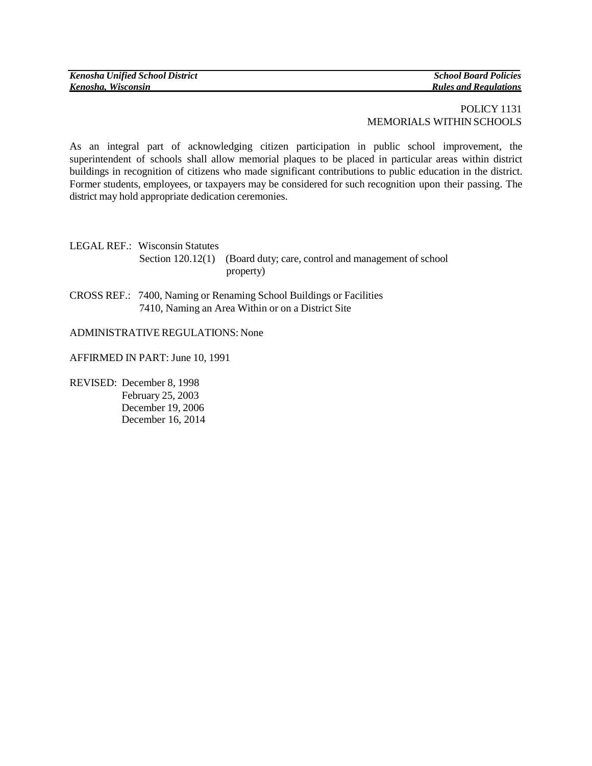## POLICY 1131 MEMORIALS WITHIN SCHOOLS

As an integral part of acknowledging citizen participation in public school improvement, the superintendent of schools shall allow memorial plaques to be placed in particular areas within district buildings in recognition of citizens who made significant contributions to public education in the district. Former students, employees, or taxpayers may be considered for such recognition upon their passing. The district may hold appropriate dedication ceremonies.

LEGAL REF.: Wisconsin Statutes Section 120.12(1) (Board duty; care, control and management of school property)

CROSS REF.: 7400, Naming or Renaming School Buildings or Facilities 7410, Naming an Area Within or on a District Site

ADMINISTRATIVEREGULATIONS: None

AFFIRMED IN PART: June 10, 1991

REVISED: December 8, 1998 February 25, 2003 December 19, 2006 December 16, 2014